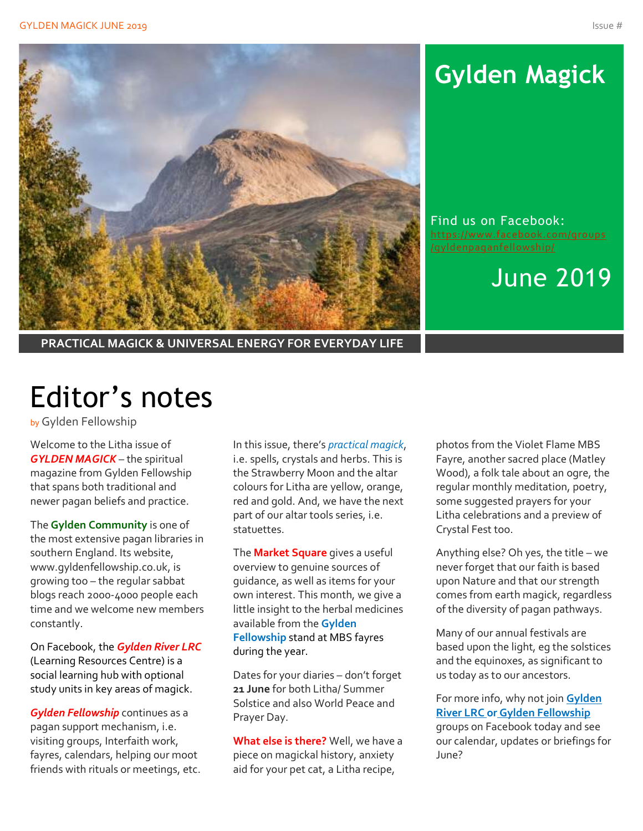

# **Gylden Magick**

Find us on Facebook: [https://www.facebook.com/groups](https://www.facebook.com/groups/gyldenpaganfellowship/) [/gyldenpaganfellowship/](https://www.facebook.com/groups/gyldenpaganfellowship/)

June 2019

**PRACTICAL MAGICK & UNIVERSAL ENERGY FOR EVERYDAY LIFE**

# Editor's notes

by Gylden Fellowship

Welcome to the Litha issue of *GYLDEN MAGICK* – the spiritual magazine from Gylden Fellowship that spans both traditional and newer pagan beliefs and practice.

The **Gylden Community** is one of the most extensive pagan libraries in southern England. Its website, www.gyldenfellowship.co.uk, is growing too – the regular sabbat blogs reach 2000-4000 people each time and we welcome new members constantly.

On Facebook, the *Gylden River LRC* (Learning Resources Centre) is a social learning hub with optional study units in key areas of magick.

*Gylden Fellowship* continues as a pagan support mechanism, i.e. visiting groups, Interfaith work, fayres, calendars, helping our moot friends with rituals or meetings, etc.

In this issue, there's *practical magick*, i.e. spells, crystals and herbs. This is the Strawberry Moon and the altar colours for Litha are yellow, orange, red and gold. And, we have the next part of our altar tools series, i.e. statuettes.

The **Market Square** gives a useful overview to genuine sources of guidance, as well as items for your own interest. This month, we give a little insight to the herbal medicines available from the **Gylden Fellowship** stand at MBS fayres during the year.

Dates for your diaries – don't forget **21 June** for both Litha/ Summer Solstice and also World Peace and Prayer Day.

**What else is there?** Well, we have a piece on magickal history, anxiety aid for your pet cat, a Litha recipe,

photos from the Violet Flame MBS Fayre, another sacred place (Matley Wood), a folk tale about an ogre, the regular monthly meditation, poetry, some suggested prayers for your Litha celebrations and a preview of Crystal Fest too.

Anything else? Oh yes, the title – we never forget that our faith is based upon Nature and that our strength comes from earth magick, regardless of the diversity of pagan pathways.

Many of our annual festivals are based upon the light, eg the solstices and the equinoxes, as significant to us today as to our ancestors.

For more info, why not join **Gylden River LRC or Gylden Fellowship** groups on Facebook today and see our calendar, updates or briefings for June?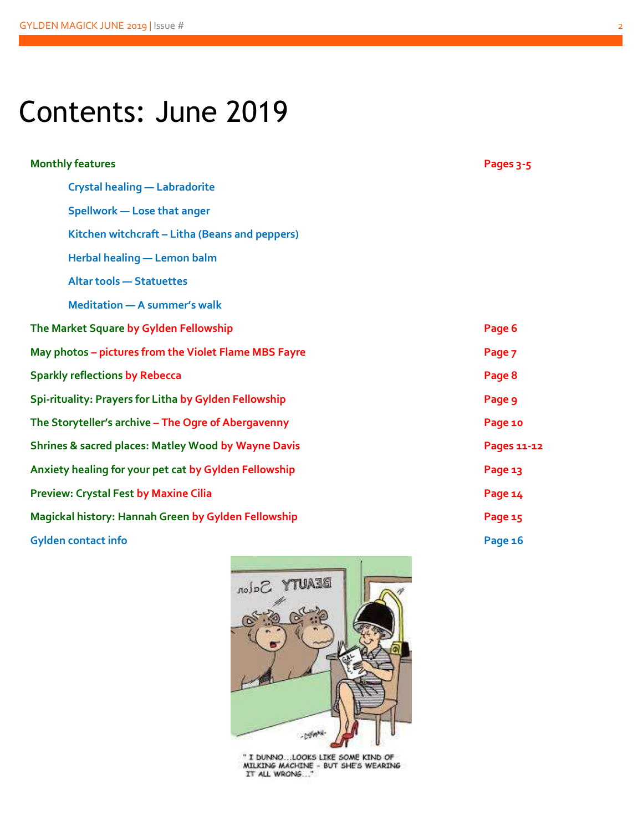# Contents: June 2019

| <b>Monthly features</b>                               | Pages 3-5   |
|-------------------------------------------------------|-------------|
| <b>Crystal healing - Labradorite</b>                  |             |
| Spellwork - Lose that anger                           |             |
| Kitchen witchcraft - Litha (Beans and peppers)        |             |
| Herbal healing - Lemon balm                           |             |
| <b>Altar tools - Statuettes</b>                       |             |
| <b>Meditation - A summer's walk</b>                   |             |
| The Market Square by Gylden Fellowship                | Page 6      |
| May photos - pictures from the Violet Flame MBS Fayre | Page 7      |
| <b>Sparkly reflections by Rebecca</b>                 | Page 8      |
| Spi-rituality: Prayers for Litha by Gylden Fellowship | Page 9      |
| The Storyteller's archive - The Ogre of Abergavenny   | Page 10     |
| Shrines & sacred places: Matley Wood by Wayne Davis   | Pages 11-12 |
| Anxiety healing for your pet cat by Gylden Fellowship | Page 13     |
| <b>Preview: Crystal Fest by Maxine Cilia</b>          | Page 14     |
| Magickal history: Hannah Green by Gylden Fellowship   | Page 15     |
| <b>Gylden contact info</b>                            | Page 16     |



" I DUNNO...LOOKS LIKE SOME KIND OF<br>MILKING MACHINE - BUT SHE'S WEARING<br>IT ALL WRONS..."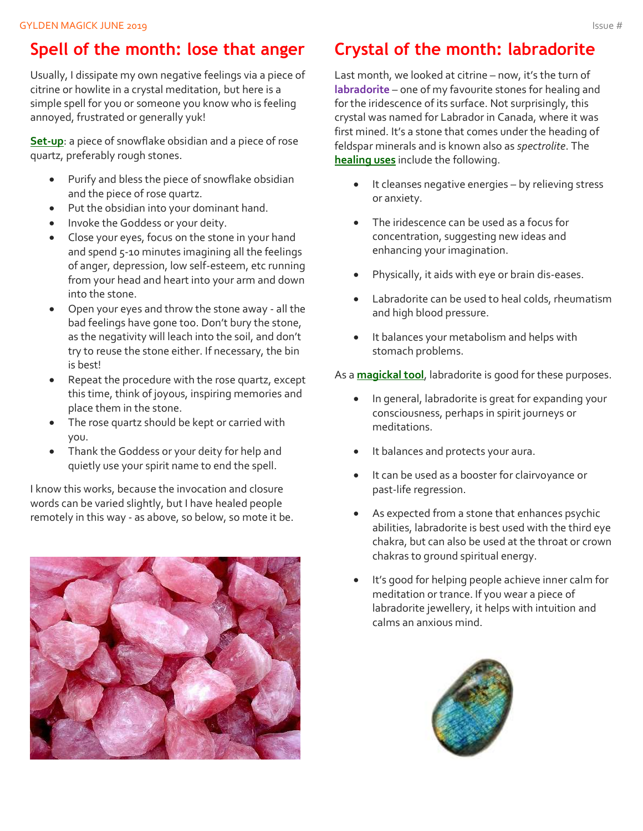### **Spell of the month: lose that anger**

Usually, I dissipate my own negative feelings via a piece of citrine or howlite in a crystal meditation, but here is a simple spell for you or someone you know who is feeling annoyed, frustrated or generally yuk!

**Set-up**: a piece of snowflake obsidian and a piece of rose quartz, preferably rough stones.

- Purify and bless the piece of snowflake obsidian and the piece of rose quartz.
- Put the obsidian into your dominant hand.
- Invoke the Goddess or your deity.
- Close your eyes, focus on the stone in your hand and spend 5-10 minutes imagining all the feelings of anger, depression, low self-esteem, etc running from your head and heart into your arm and down into the stone.
- Open your eyes and throw the stone away all the bad feelings have gone too. Don't bury the stone, as the negativity will leach into the soil, and don't try to reuse the stone either. If necessary, the bin is best!
- Repeat the procedure with the rose quartz, except this time, think of joyous, inspiring memories and place them in the stone.
- The rose quartz should be kept or carried with you.
- Thank the Goddess or your deity for help and quietly use your spirit name to end the spell.

I know this works, because the invocation and closure words can be varied slightly, but I have healed people remotely in this way - as above, so below, so mote it be.



### **Crystal of the month: labradorite**

Last month, we looked at citrine – now, it's the turn of **labradorite** – one of my favourite stones for healing and for the iridescence of its surface. Not surprisingly, this crystal was named for Labrador in Canada, where it was first mined. It's a stone that comes under the heading of feldspar minerals and is known also as *spectrolite*. The **healing uses** include the following.

- It cleanses negative energies by relieving stress or anxiety.
- The iridescence can be used as a focus for concentration, suggesting new ideas and enhancing your imagination.
- Physically, it aids with eye or brain dis-eases.
- Labradorite can be used to heal colds, rheumatism and high blood pressure.
- It balances your metabolism and helps with stomach problems.

As a **magickal tool**, labradorite is good for these purposes.

- In general, labradorite is great for expanding your consciousness, perhaps in spirit journeys or meditations.
- It balances and protects your aura.
- It can be used as a booster for clairvoyance or past-life regression.
- As expected from a stone that enhances psychic abilities, labradorite is best used with the third eye chakra, but can also be used at the throat or crown chakras to ground spiritual energy.
- It's good for helping people achieve inner calm for meditation or trance. If you wear a piece of labradorite jewellery, it helps with intuition and calms an anxious mind.

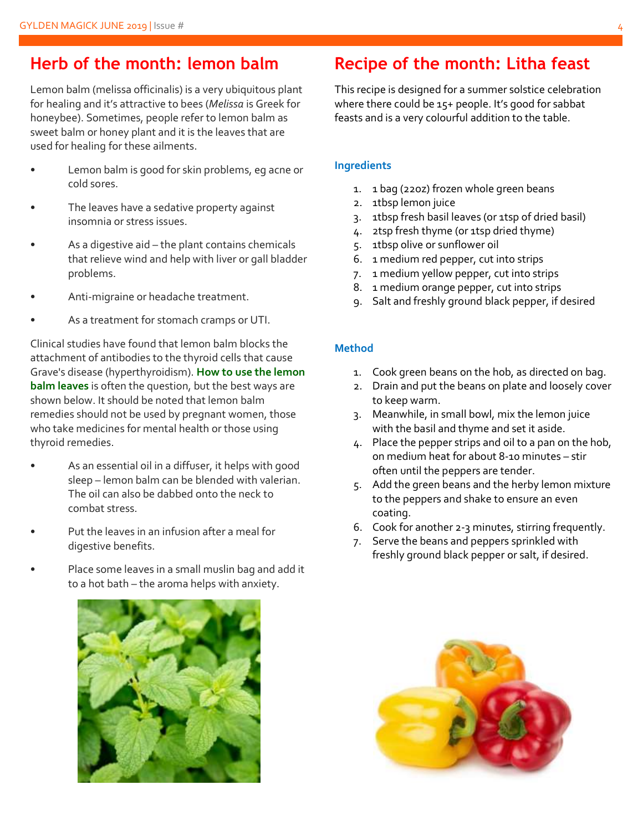#### **Herb of the month: lemon balm**

Lemon balm (melissa officinalis) is a very ubiquitous plant for healing and it's attractive to bees (*Melissa* is Greek for honeybee). Sometimes, people refer to lemon balm as sweet balm or honey plant and it is the leaves that are used for healing for these ailments.

- Lemon balm is good for skin problems, eg acne or cold sores.
- The leaves have a sedative property against insomnia or stress issues.
- As a digestive aid  $-$  the plant contains chemicals that relieve wind and help with liver or gall bladder problems.
- Anti-migraine or headache treatment.
- As a treatment for stomach cramps or UTI.

Clinical studies have found that lemon balm blocks the attachment of antibodies to the thyroid cells that cause Grave's disease (hyperthyroidism). **How to use the lemon balm leaves** is often the question, but the best ways are shown below. It should be noted that lemon balm remedies should not be used by pregnant women, those who take medicines for mental health or those using thyroid remedies.

- As an essential oil in a diffuser, it helps with good sleep – lemon balm can be blended with valerian. The oil can also be dabbed onto the neck to combat stress.
- Put the leaves in an infusion after a meal for digestive benefits.
- Place some leaves in a small muslin bag and add it to a hot bath – the aroma helps with anxiety.



#### **Recipe of the month: Litha feast**

This recipe is designed for a summer solstice celebration where there could be 15+ people. It's good for sabbat feasts and is a very colourful addition to the table.

#### **Ingredients**

- 1. 1 bag (22oz) frozen whole green beans
- 2. 1tbsp lemon juice
- 3. 1tbsp fresh basil leaves (or 1tsp of dried basil)
- 4. 2tsp fresh thyme (or 1tsp dried thyme)
- 5. 1tbsp olive or sunflower oil
- 6. 1 medium red pepper, cut into strips
- 7. 1 medium yellow pepper, cut into strips
- 8. 1 medium orange pepper, cut into strips
- 9. Salt and freshly ground black pepper, if desired

#### **Method**

- 1. Cook green beans on the hob, as directed on bag.
- 2. Drain and put the beans on plate and loosely cover to keep warm.
- 3. Meanwhile, in small bowl, mix the lemon juice with the basil and thyme and set it aside.
- 4. Place the pepper strips and oil to a pan on the hob, on medium heat for about 8-10 minutes – stir often until the peppers are tender.
- 5. Add the green beans and the herby lemon mixture to the peppers and shake to ensure an even coating.
- 6. Cook for another 2-3 minutes, stirring frequently.
- 7. Serve the beans and peppers sprinkled with freshly ground black pepper or salt, if desired.

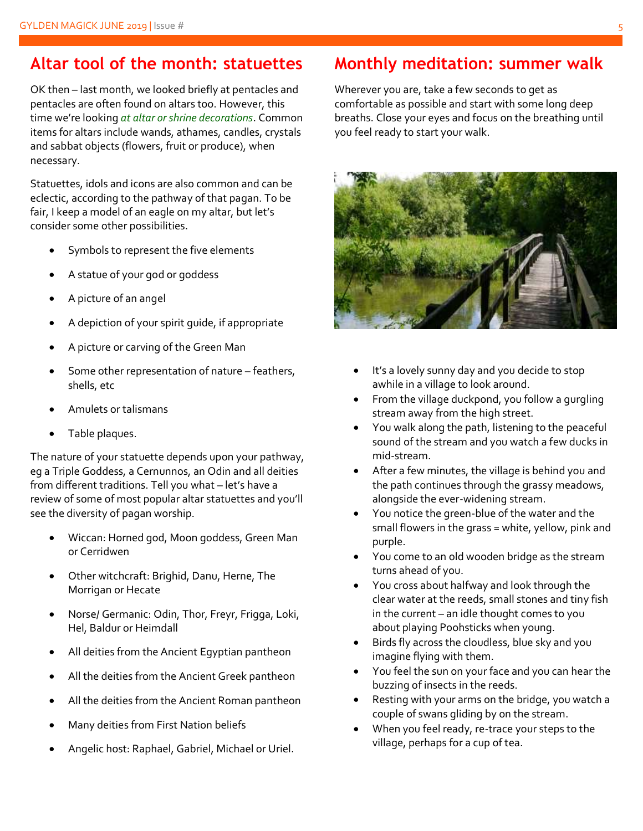### **Altar tool of the month: statuettes**

OK then – last month, we looked briefly at pentacles and pentacles are often found on altars too. However, this time we're looking *at altar or shrine decorations*. Common items for altars include wands, athames, candles, crystals and sabbat objects (flowers, fruit or produce), when necessary.

Statuettes, idols and icons are also common and can be eclectic, according to the pathway of that pagan. To be fair, I keep a model of an eagle on my altar, but let's consider some other possibilities.

- Symbols to represent the five elements
- A statue of your god or goddess
- A picture of an angel
- A depiction of your spirit guide, if appropriate
- A picture or carving of the Green Man
- Some other representation of nature feathers, shells, etc
- Amulets or talismans
- Table plaques.

The nature of your statuette depends upon your pathway, eg a Triple Goddess, a Cernunnos, an Odin and all deities from different traditions. Tell you what – let's have a review of some of most popular altar statuettes and you'll see the diversity of pagan worship.

- Wiccan: Horned god, Moon goddess, Green Man or Cerridwen
- Other witchcraft: Brighid, Danu, Herne, The Morrigan or Hecate
- Norse/ Germanic: Odin, Thor, Freyr, Frigga, Loki, Hel, Baldur or Heimdall
- All deities from the Ancient Egyptian pantheon
- All the deities from the Ancient Greek pantheon
- All the deities from the Ancient Roman pantheon
- Many deities from First Nation beliefs
- Angelic host: Raphael, Gabriel, Michael or Uriel.

### **Monthly meditation: summer walk**

Wherever you are, take a few seconds to get as comfortable as possible and start with some long deep breaths. Close your eyes and focus on the breathing until you feel ready to start your walk.



- It's a lovely sunny day and you decide to stop awhile in a village to look around.
- From the village duckpond, you follow a gurgling stream away from the high street.
- You walk along the path, listening to the peaceful sound of the stream and you watch a few ducks in mid-stream.
- After a few minutes, the village is behind you and the path continues through the grassy meadows, alongside the ever-widening stream.
- You notice the green-blue of the water and the small flowers in the grass = white, yellow, pink and purple.
- You come to an old wooden bridge as the stream turns ahead of you.
- You cross about halfway and look through the clear water at the reeds, small stones and tiny fish in the current – an idle thought comes to you about playing Poohsticks when young.
- Birds fly across the cloudless, blue sky and you imagine flying with them.
- You feel the sun on your face and you can hear the buzzing of insects in the reeds.
- Resting with your arms on the bridge, you watch a couple of swans gliding by on the stream.
- When you feel ready, re-trace your steps to the village, perhaps for a cup of tea.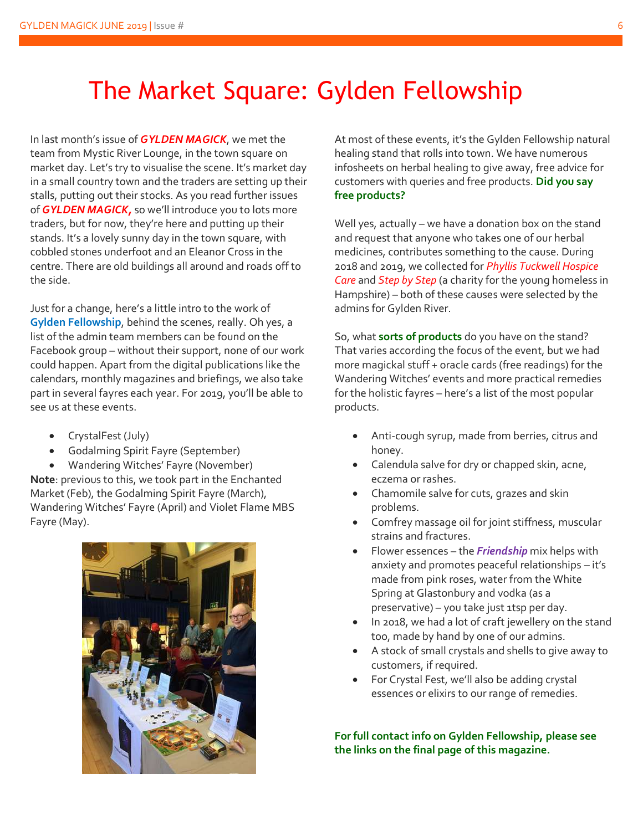## The Market Square: Gylden Fellowship

In last month's issue of *GYLDEN MAGICK*, we met the team from Mystic River Lounge, in the town square on market day. Let's try to visualise the scene. It's market day in a small country town and the traders are setting up their stalls, putting out their stocks. As you read further issues of *GYLDEN MAGICK,* so we'll introduce you to lots more traders, but for now, they're here and putting up their stands. It's a lovely sunny day in the town square, with cobbled stones underfoot and an Eleanor Cross in the centre. There are old buildings all around and roads off to the side.

Just for a change, here's a little intro to the work of **Gylden Fellowship**, behind the scenes, really. Oh yes, a list of the admin team members can be found on the Facebook group – without their support, none of our work could happen. Apart from the digital publications like the calendars, monthly magazines and briefings, we also take part in several fayres each year. For 2019, you'll be able to see us at these events.

- CrystalFest (July)
- Godalming Spirit Fayre (September)

• Wandering Witches' Fayre (November) **Note**: previous to this, we took part in the Enchanted Market (Feb), the Godalming Spirit Fayre (March), Wandering Witches' Fayre (April) and Violet Flame MBS Fayre (May).



At most of these events, it's the Gylden Fellowship natural healing stand that rolls into town. We have numerous infosheets on herbal healing to give away, free advice for customers with queries and free products. **Did you say free products?**

Well yes, actually – we have a donation box on the stand and request that anyone who takes one of our herbal medicines, contributes something to the cause. During 2018 and 2019, we collected for *Phyllis Tuckwell Hospice Care* and *Step by Step* (a charity for the young homeless in Hampshire) – both of these causes were selected by the admins for Gylden River.

So, what **sorts of products** do you have on the stand? That varies according the focus of the event, but we had more magickal stuff + oracle cards (free readings) for the Wandering Witches' events and more practical remedies for the holistic fayres – here's a list of the most popular products.

- Anti-cough syrup, made from berries, citrus and honey.
- Calendula salve for dry or chapped skin, acne, eczema or rashes.
- Chamomile salve for cuts, grazes and skin problems.
- Comfrey massage oil for joint stiffness, muscular strains and fractures.
- Flower essences the *Friendship* mix helps with anxiety and promotes peaceful relationships – it's made from pink roses, water from the White Spring at Glastonbury and vodka (as a preservative) – you take just 1tsp per day.
- In 2018, we had a lot of craft jewellery on the stand too, made by hand by one of our admins.
- A stock of small crystals and shells to give away to customers, if required.
- For Crystal Fest, we'll also be adding crystal essences or elixirs to our range of remedies.

**For full contact info on Gylden Fellowship, please see the links on the final page of this magazine.**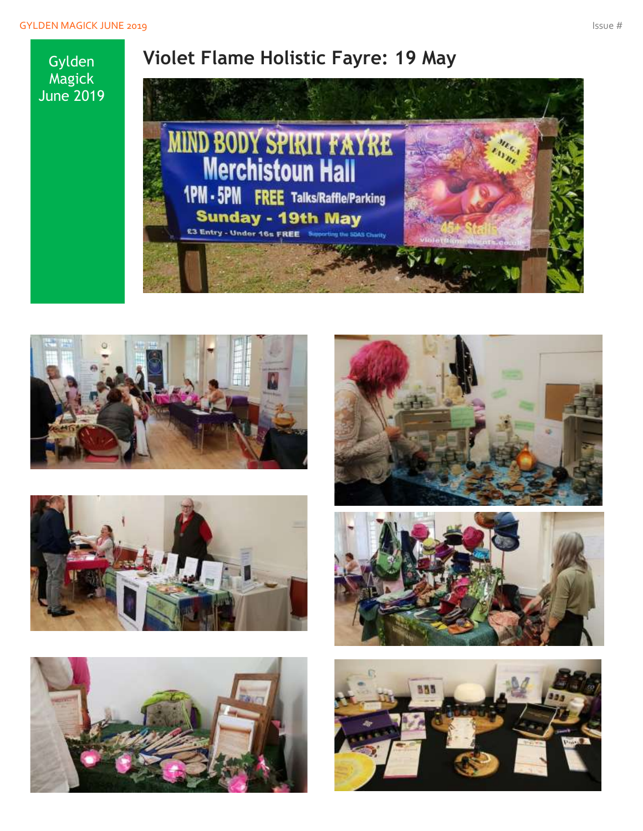### **Violet Flame Holistic Fayre: 19 May**

Magick June 2019

Gylden













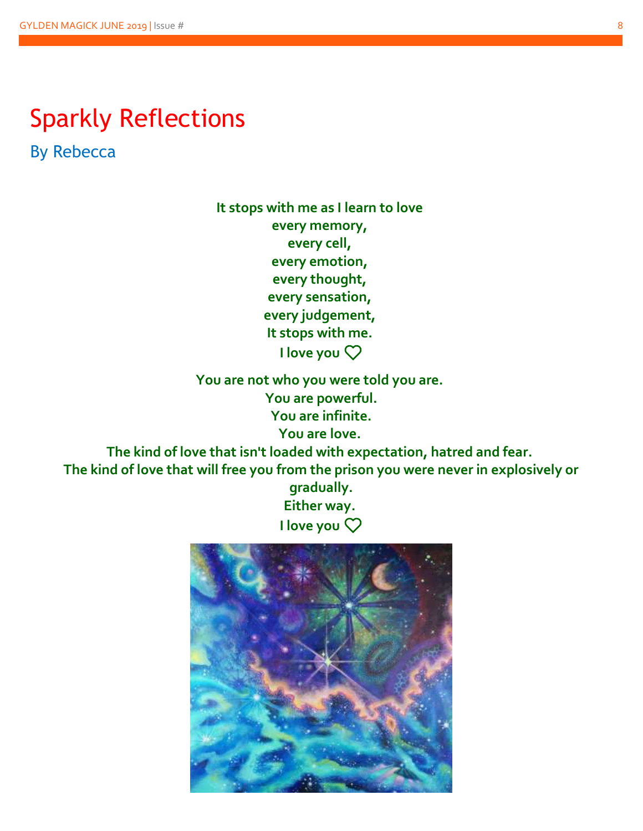## Sparkly Reflections

By Rebecca

**It stops with me as I learn to love every memory, every cell, every emotion, every thought, every sensation, every judgement, It stops with me. I love you**❤️

**You are not who you were told you are. You are powerful. You are infinite. You are love.**

**The kind of love that isn't loaded with expectation, hatred and fear. The kind of love that will free you from the prison you were never in explosively or** 

**gradually. Either way. I love you**❤️

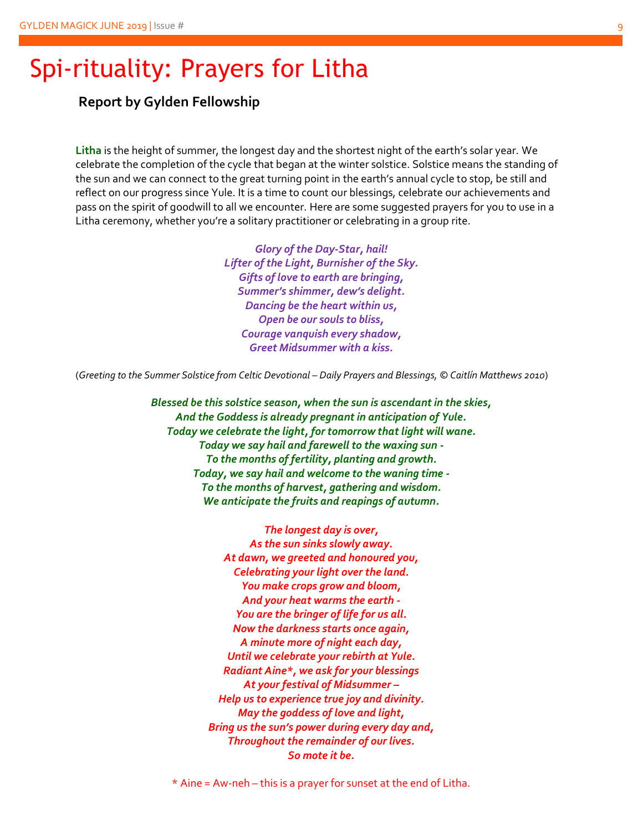### Spi-rituality: Prayers for Litha

**Report by Gylden Fellowship**

**Litha** is the height of summer, the longest day and the shortest night of the earth's solar year. We celebrate the completion of the cycle that began at the winter solstice. Solstice means the standing of the sun and we can connect to the great turning point in the earth's annual cycle to stop, be still and reflect on our progress since Yule. It is a time to count our blessings, celebrate our achievements and pass on the spirit of goodwill to all we encounter. Here are some suggested prayers for you to use in a Litha ceremony, whether you're a solitary practitioner or celebrating in a group rite.

> *Glory of the Day-Star, hail! Lifter of the Light, Burnisher of the Sky. Gifts of love to earth are bringing, Summer's shimmer, dew's delight. Dancing be the heart within us, Open be our souls to bliss, Courage vanquish every shadow, Greet Midsummer with a kiss.*

(*Greeting to the Summer Solstice from Celtic Devotional – Daily Prayers and Blessings, © Caitlín Matthews 2010*)

*Blessed be this solstice season, when the sun is ascendant in the skies, And the Goddess is already pregnant in anticipation of Yule. Today we celebrate the light, for tomorrow that light will wane. Today we say hail and farewell to the waxing sun - To the months of fertility, planting and growth. Today, we say hail and welcome to the waning time - To the months of harvest, gathering and wisdom. We anticipate the fruits and reapings of autumn.*

> *The longest day is over, As the sun sinks slowly away. At dawn, we greeted and honoured you, Celebrating your light over the land. You make crops grow and bloom, And your heat warms the earth - You are the bringer of life for us all. Now the darkness starts once again, A minute more of night each day, Until we celebrate your rebirth at Yule. Radiant Aine\*, we ask for your blessings At your festival of Midsummer – Help us to experience true joy and divinity. May the goddess of love and light, Bring us the sun's power during every day and, Throughout the remainder of our lives. So mote it be.*

 $*$  Aine = Aw-neh – this is a prayer for sunset at the end of Litha.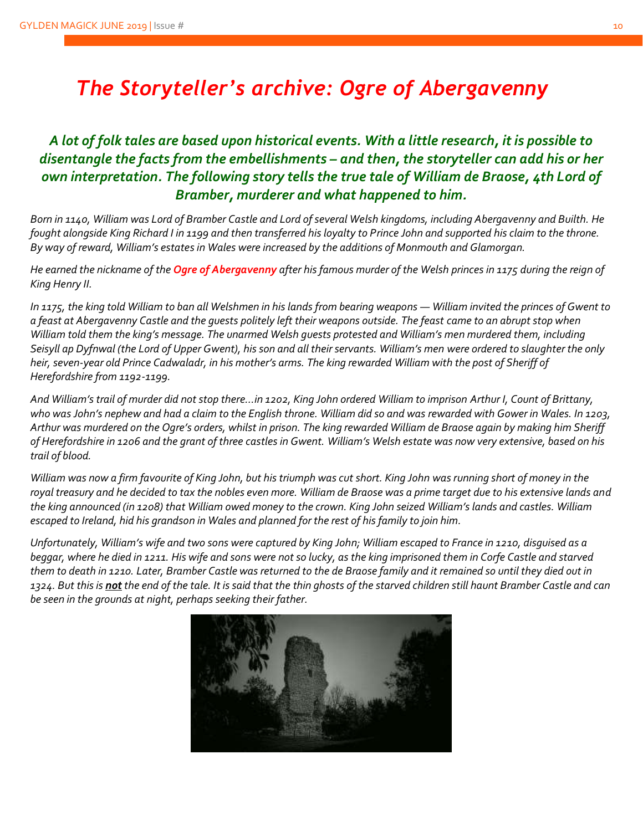### *The Storyteller's archive: Ogre of Abergavenny*

#### *A lot of folk tales are based upon historical events. With a little research, it is possible to disentangle the facts from the embellishments – and then, the storyteller can add his or her own interpretation. The following story tells the true tale of William de Braose, 4th Lord of Bramber, murderer and what happened to him.*

*Born in 1140, William was Lord of Bramber Castle and Lord of several Welsh kingdoms, including Abergavenny and Builth. He fought alongside King Richard I in 1199 and then transferred his loyalty to Prince John and supported his claim to the throne. By way of reward, William's estates in Wales were increased by the additions of Monmouth and Glamorgan.* 

*He earned the nickname of the Ogre of Abergavenny after his famous murder of the Welsh princes in 1175 during the reign of King Henry II.*

In 1175, the king told William to ban all Welshmen in his lands from bearing weapons — William invited the princes of Gwent to *a feast at Abergavenny Castle and the guests politely left their weapons outside. The feast came to an abrupt stop when William told them the king's message. The unarmed Welsh guests protested and William's men murdered them, including Seisyll ap Dyfnwal (the Lord of Upper Gwent), his son and all their servants. William's men were ordered to slaughter the only heir, seven-year old Prince Cadwaladr, in his mother's arms. The king rewarded William with the post of Sheriff of Herefordshire from 1192-1199.*

*And William's trail of murder did not stop there…in 1202, King John ordered William to imprison Arthur I, Count of Brittany, who was John's nephew and had a claim to the English throne. William did so and was rewarded with Gower in Wales. In 1203, Arthur was murdered on the Ogre's orders, whilst in prison. The king rewarded William de Braose again by making him Sheriff of Herefordshire in 1206 and the grant of three castles in Gwent. William's Welsh estate was now very extensive, based on his trail of blood.*

*William was now a firm favourite of King John, but his triumph was cut short. King John was running short of money in the royal treasury and he decided to tax the nobles even more. William de Braose was a prime target due to his extensive lands and the king announced (in 1208) that William owed money to the crown. King John seized William's lands and castles. William escaped to Ireland, hid his grandson in Wales and planned for the rest of his family to join him.* 

*Unfortunately, William's wife and two sons were captured by King John; William escaped to France in 1210, disguised as a beggar, where he died in 1211. His wife and sons were not so lucky, as the king imprisoned them in Corfe Castle and starved them to death in 1210. Later, Bramber Castle was returned to the de Braose family and it remained so until they died out in 1324. But this is not the end of the tale. It is said that the thin ghosts of the starved children still haunt Bramber Castle and can be seen in the grounds at night, perhaps seeking their father.*

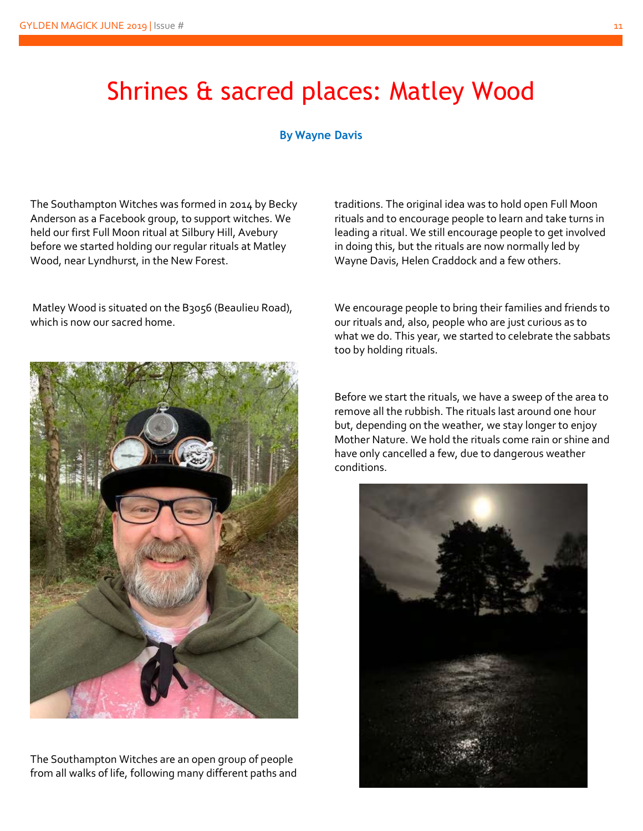## Shrines & sacred places: Matley Wood

#### **By Wayne Davis**

The Southampton Witches was formed in 2014 by Becky Anderson as a Facebook group, to support witches. We held our first Full Moon ritual at Silbury Hill, Avebury before we started holding our regular rituals at Matley Wood, near Lyndhurst, in the New Forest.

Matley Wood is situated on the B3056 (Beaulieu Road), which is now our sacred home.



The Southampton Witches are an open group of people from all walks of life, following many different paths and traditions. The original idea was to hold open Full Moon rituals and to encourage people to learn and take turns in leading a ritual. We still encourage people to get involved in doing this, but the rituals are now normally led by Wayne Davis, Helen Craddock and a few others.

We encourage people to bring their families and friends to our rituals and, also, people who are just curious as to what we do. This year, we started to celebrate the sabbats too by holding rituals.

Before we start the rituals, we have a sweep of the area to remove all the rubbish. The rituals last around one hour but, depending on the weather, we stay longer to enjoy Mother Nature. We hold the rituals come rain or shine and have only cancelled a few, due to dangerous weather conditions.

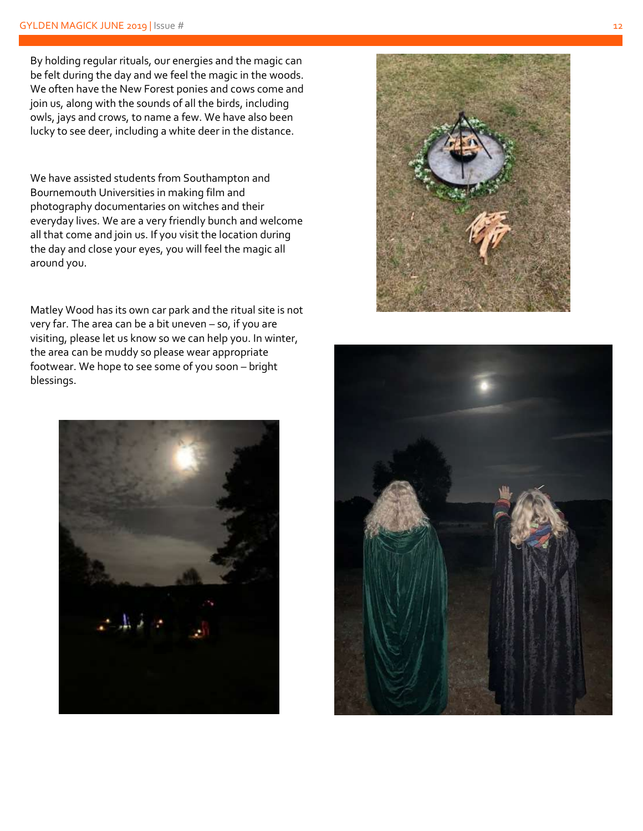By holding regular rituals, our energies and the magic can be felt during the day and we feel the magic in the woods. We often have the New Forest ponies and cows come and join us, along with the sounds of all the birds , including owls, jays and crows, to name a few. We have also been lucky to see deer, including a white deer in the distance.

We have assisted students from Southampton and Bournemouth Universities in making film and photography documentaries on witches and their everyday lives. We are a very friendly bunch and welcome all that come and join us. If you visit the location during the day and close your eyes, you will feel the magic all around you.

Matley Wood has its own car park and the ritual site is not very far. The area can be a bit uneven – so, if you are visiting, please let us know so we can help you. In winter, the area can be muddy so please wear appropriate footwear. We hope to see some of you soon – bright blessings.





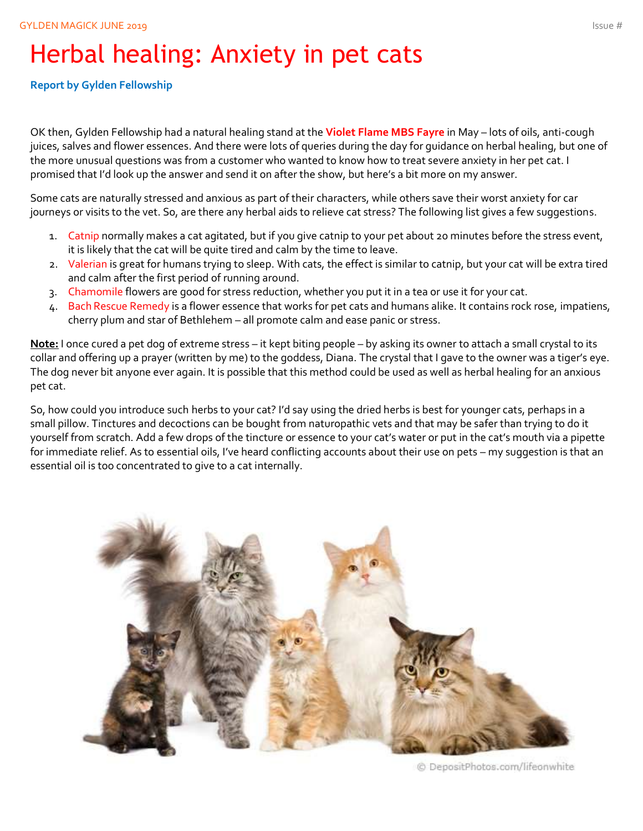# Herbal healing: Anxiety in pet cats

#### **Report by Gylden Fellowship**

OK then, Gylden Fellowship had a natural healing stand at the **Violet Flame MBS Fayre** in May – lots of oils, anti-cough juices, salves and flower essences. And there were lots of queries during the day for guidance on herbal healing, but one of the more unusual questions was from a customer who wanted to know how to treat severe anxiety in her pet cat. I promised that I'd look up the answer and send it on after the show, but here's a bit more on my answer.

Some cats are naturally stressed and anxious as part of their characters, while others save their worst anxiety for car journeys or visits to the vet. So, are there any herbal aids to relieve cat stress? The following list gives a few suggestions.

- 1. Catnip normally makes a cat agitated, but if you give catnip to your pet about 20 minutes before the stress event, it is likely that the cat will be quite tired and calm by the time to leave.
- 2. Valerian is great for humans trying to sleep. With cats, the effect is similar to catnip, but your cat will be extra tired and calm after the first period of running around.
- 3. Chamomile flowers are good for stress reduction, whether you put it in a tea or use it for your cat.
- 4. Bach Rescue Remedy is a flower essence that works for pet cats and humans alike. It contains rock rose, impatiens, cherry plum and star of Bethlehem – all promote calm and ease panic or stress.

**Note:** I once cured a pet dog of extreme stress – it kept biting people – by asking its owner to attach a small crystal to its collar and offering up a prayer (written by me) to the goddess, Diana. The crystal that I gave to the owner was a tiger's eye. The dog never bit anyone ever again. It is possible that this method could be used as well as herbal healing for an anxious pet cat.

So, how could you introduce such herbs to your cat? I'd say using the dried herbs is best for younger cats, perhaps in a small pillow. Tinctures and decoctions can be bought from naturopathic vets and that may be safer than trying to do it yourself from scratch. Add a few drops of the tincture or essence to your cat's water or put in the cat's mouth via a pipette for immediate relief. As to essential oils, I've heard conflicting accounts about their use on pets – my suggestion is that an essential oil is too concentrated to give to a cat internally.



© DepositPhotos.com/lifeonwhite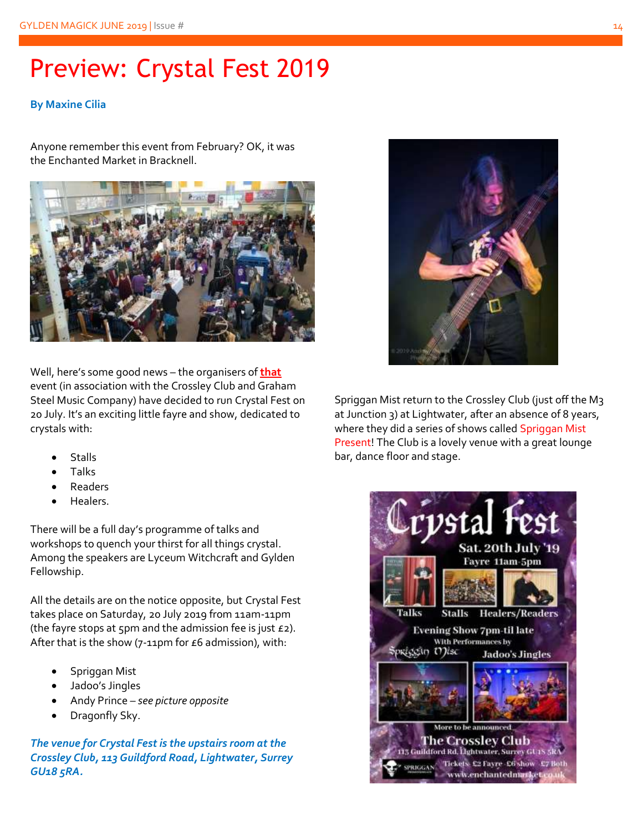# Preview: Crystal Fest 2019

#### **By Maxine Cilia**

Anyone remember this event from February? OK, it was the Enchanted Market in Bracknell.



Well, here's some good news – the organisers of **that** event (in association with the Crossley Club and Graham Steel Music Company) have decided to run Crystal Fest on 20 July. It's an exciting little fayre and show, dedicated to crystals with:

- **Stalls**
- Talks
- **Readers**
- Healers.

There will be a full day's programme of talks and workshops to quench your thirst for all things crystal. Among the speakers are Lyceum Witchcraft and Gylden Fellowship.

All the details are on the notice opposite, but Crystal Fest takes place on Saturday, 20 July 2019 from 11am-11pm (the fayre stops at 5pm and the admission fee is just  $E_2$ ). After that is the show (7-11pm for  $E6$  admission), with:

- Spriggan Mist
- Jadoo's Jingles
- Andy Prince *see picture opposite*
- Dragonfly Sky.

*The venue for Crystal Fest is the upstairs room at the Crossley Club, 113 Guildford Road, Lightwater, Surrey GU18 5RA.*



Spriggan Mist return to the Crossley Club (just off the M3 at Junction 3) at Lightwater, after an absence of 8 years, where they did a series of shows called Spriggan Mist Present! The Club is a lovely venue with a great lounge bar, dance floor and stage.

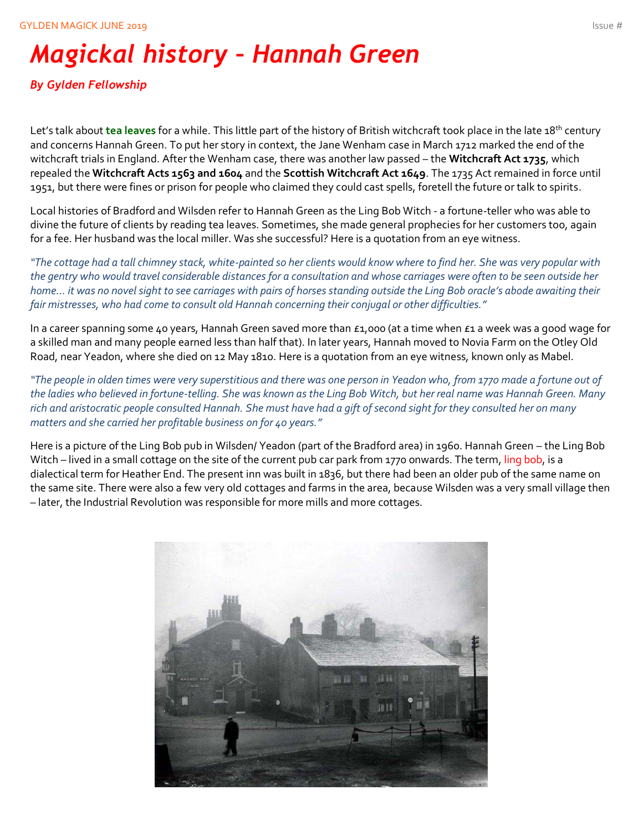# *Magickal history – Hannah Green*

#### *By Gylden Fellowship*

Let's talk about **tea leaves** for a while. This little part of the history of British witchcraft took place in the late 18th century and concerns Hannah Green. To put her story in context, the Jane Wenham case in March 1712 marked the end of the witchcraft trials in England. After the Wenham case, there was another law passed – the **Witchcraft Act 1735**, which repealed the **Witchcraft Acts 1563 and 1604** and the **Scottish Witchcraft Act 1649**. The 1735 Act remained in force until 1951, but there were fines or prison for people who claimed they could cast spells, foretell the future or talk to spirits.

Local histories of Bradford and Wilsden refer to Hannah Green as the Ling Bob Witch - a fortune-teller who was able to divine the future of clients by reading tea leaves. Sometimes, she made general prophecies for her customers too, again for a fee. Her husband was the local miller. Was she successful? Here is a quotation from an eye witness.

*"The cottage had a tall chimney stack, white-painted so her clients would know where to find her. She was very popular with the gentry who would travel considerable distances for a consultation and whose carriages were often to be seen outside her home… it was no novel sight to see carriages with pairs of horses standing outside the Ling Bob oracle's abode awaiting their fair mistresses, who had come to consult old Hannah concerning their conjugal or other difficulties."* 

In a career spanning some 40 years, Hannah Green saved more than £1,000 (at a time when £1 a week was a good wage for a skilled man and many people earned less than half that). In later years, Hannah moved to Novia Farm on the Otley Old Road, near Yeadon, where she died on 12 May 1810. Here is a quotation from an eye witness, known only as Mabel.

*"The people in olden times were very superstitious and there was one person in Yeadon who, from 1770 made a fortune out of the ladies who believed in fortune-telling. She was known as the Ling Bob Witch, but her real name was Hannah Green. Many rich and aristocratic people consulted Hannah. She must have had a gift of second sight for they consulted her on many matters and she carried her profitable business on for 40 years."*

Here is a picture of the Ling Bob pub in Wilsden/ Yeadon (part of the Bradford area) in 1960. Hannah Green – the Ling Bob Witch – lived in a small cottage on the site of the current pub car park from 1770 onwards. The term, ling bob, is a dialectical term for Heather End. The present inn was built in 1836, but there had been an older pub of the same name on the same site. There were also a few very old cottages and farms in the area, because Wilsden was a very small village then – later, the Industrial Revolution was responsible for more mills and more cottages.